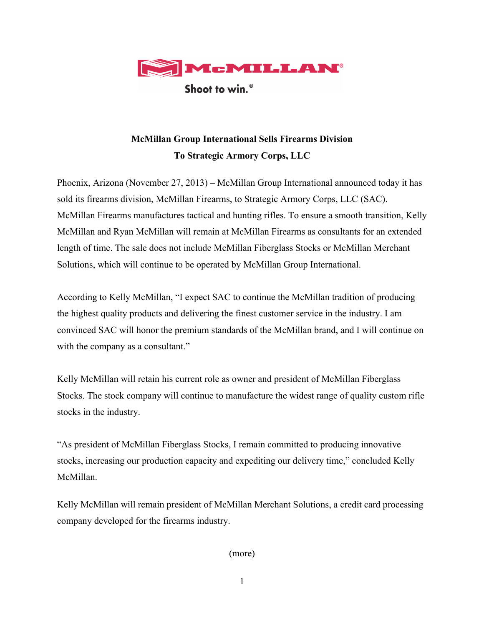

Shoot to win.<sup>®</sup>

## **McMillan Group International Sells Firearms Division To Strategic Armory Corps, LLC**

Phoenix, Arizona (November 27, 2013) – McMillan Group International announced today it has sold its firearms division, McMillan Firearms, to Strategic Armory Corps, LLC (SAC). McMillan Firearms manufactures tactical and hunting rifles. To ensure a smooth transition, Kelly McMillan and Ryan McMillan will remain at McMillan Firearms as consultants for an extended length of time. The sale does not include McMillan Fiberglass Stocks or McMillan Merchant Solutions, which will continue to be operated by McMillan Group International.

According to Kelly McMillan, "I expect SAC to continue the McMillan tradition of producing the highest quality products and delivering the finest customer service in the industry. I am convinced SAC will honor the premium standards of the McMillan brand, and I will continue on with the company as a consultant."

Kelly McMillan will retain his current role as owner and president of McMillan Fiberglass Stocks. The stock company will continue to manufacture the widest range of quality custom rifle stocks in the industry.

"As president of McMillan Fiberglass Stocks, I remain committed to producing innovative stocks, increasing our production capacity and expediting our delivery time," concluded Kelly McMillan.

Kelly McMillan will remain president of McMillan Merchant Solutions, a credit card processing company developed for the firearms industry.

(more)